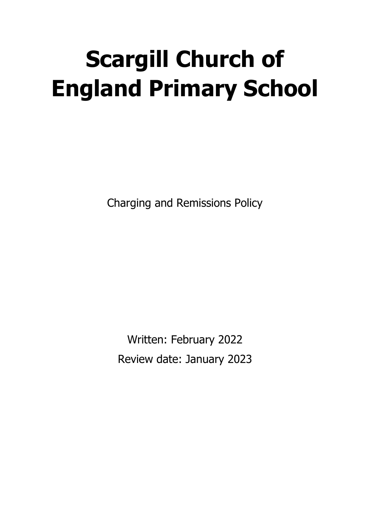# **Scargill Church of England Primary School**

Charging and Remissions Policy

Written: February 2022 Review date: January 2023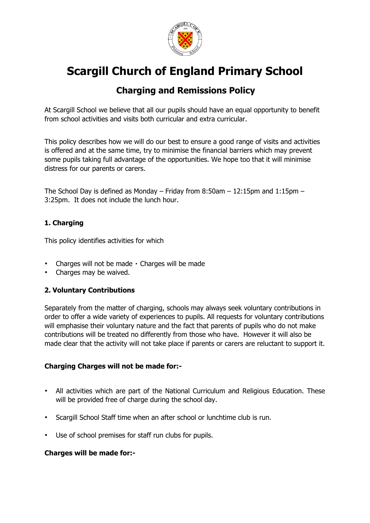

## **Scargill Church of England Primary School**

### **Charging and Remissions Policy**

At Scargill School we believe that all our pupils should have an equal opportunity to benefit from school activities and visits both curricular and extra curricular.

This policy describes how we will do our best to ensure a good range of visits and activities is offered and at the same time, try to minimise the financial barriers which may prevent some pupils taking full advantage of the opportunities. We hope too that it will minimise distress for our parents or carers.

The School Day is defined as Monday – Friday from 8:50am – 12:15pm and 1:15pm – 3:25pm. It does not include the lunch hour.

#### **1. Charging**

This policy identifies activities for which

- $\cdot$  Charges will not be made  $\cdot$  Charges will be made
- Charges may be waived.

#### **2. Voluntary Contributions**

Separately from the matter of charging, schools may always seek voluntary contributions in order to offer a wide variety of experiences to pupils. All requests for voluntary contributions will emphasise their voluntary nature and the fact that parents of pupils who do not make contributions will be treated no differently from those who have. However it will also be made clear that the activity will not take place if parents or carers are reluctant to support it.

#### **Charging Charges will not be made for:-**

- All activities which are part of the National Curriculum and Religious Education. These will be provided free of charge during the school day.
- Scargill School Staff time when an after school or lunchtime club is run.
- Use of school premises for staff run clubs for pupils.

#### **Charges will be made for:-**